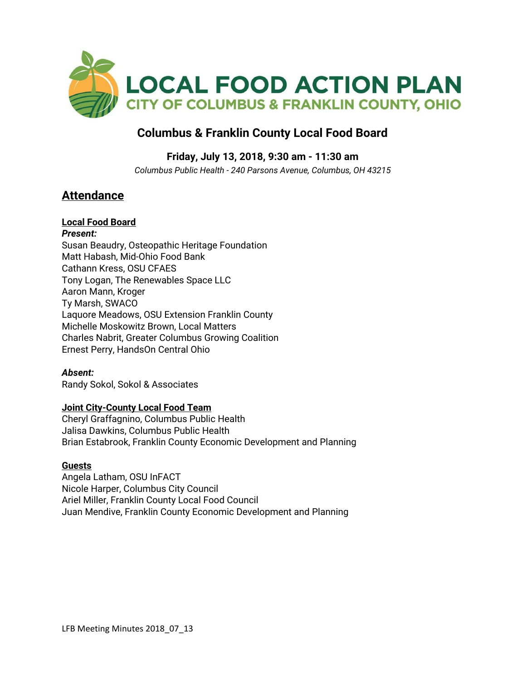

# **Columbus & Franklin County Local Food Board**

## **Friday, July 13, 2018, 9:30 am - 11:30 am**

*Columbus Public Health - 240 Parsons Avenue, Columbus, OH 43215*

# **Attendance**

### **Local Food Board**

*Present:* Susan Beaudry, Osteopathic Heritage Foundation Matt Habash, Mid-Ohio Food Bank Cathann Kress, OSU CFAES Tony Logan, The Renewables Space LLC Aaron Mann, Kroger Ty Marsh, SWACO Laquore Meadows, OSU Extension Franklin County Michelle Moskowitz Brown, Local Matters Charles Nabrit, Greater Columbus Growing Coalition Ernest Perry, HandsOn Central Ohio

### *Absent:*

Randy Sokol, Sokol & Associates

#### **Joint City-County Local Food Team**

Cheryl Graffagnino, Columbus Public Health Jalisa Dawkins, Columbus Public Health Brian Estabrook, Franklin County Economic Development and Planning

#### **Guests**

Angela Latham, OSU InFACT Nicole Harper, Columbus City Council Ariel Miller, Franklin County Local Food Council Juan Mendive, Franklin County Economic Development and Planning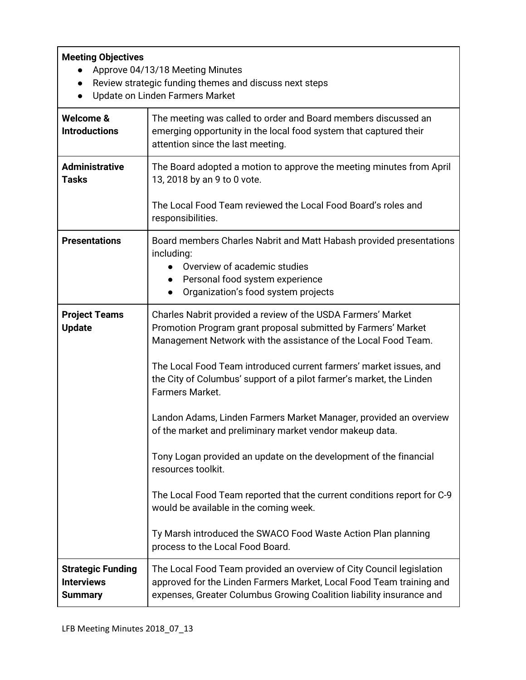### **Meeting Objectives**

- Approve 04/13/18 Meeting Minutes
- Review strategic funding themes and discuss next steps
- Update on Linden Farmers Market

| Welcome &<br><b>Introductions</b>                               | The meeting was called to order and Board members discussed an<br>emerging opportunity in the local food system that captured their<br>attention since the last meeting.                                             |
|-----------------------------------------------------------------|----------------------------------------------------------------------------------------------------------------------------------------------------------------------------------------------------------------------|
| <b>Administrative</b><br><b>Tasks</b>                           | The Board adopted a motion to approve the meeting minutes from April<br>13, 2018 by an 9 to 0 vote.                                                                                                                  |
|                                                                 | The Local Food Team reviewed the Local Food Board's roles and<br>responsibilities.                                                                                                                                   |
| <b>Presentations</b>                                            | Board members Charles Nabrit and Matt Habash provided presentations<br>including:<br>Overview of academic studies<br>Personal food system experience<br>Organization's food system projects                          |
| <b>Project Teams</b><br><b>Update</b>                           | Charles Nabrit provided a review of the USDA Farmers' Market<br>Promotion Program grant proposal submitted by Farmers' Market<br>Management Network with the assistance of the Local Food Team.                      |
|                                                                 | The Local Food Team introduced current farmers' market issues, and<br>the City of Columbus' support of a pilot farmer's market, the Linden<br>Farmers Market.                                                        |
|                                                                 | Landon Adams, Linden Farmers Market Manager, provided an overview<br>of the market and preliminary market vendor makeup data.                                                                                        |
|                                                                 | Tony Logan provided an update on the development of the financial<br>resources toolkit.                                                                                                                              |
|                                                                 | The Local Food Team reported that the current conditions report for C-9<br>would be available in the coming week.                                                                                                    |
|                                                                 | Ty Marsh introduced the SWACO Food Waste Action Plan planning<br>process to the Local Food Board.                                                                                                                    |
| <b>Strategic Funding</b><br><b>Interviews</b><br><b>Summary</b> | The Local Food Team provided an overview of City Council legislation<br>approved for the Linden Farmers Market, Local Food Team training and<br>expenses, Greater Columbus Growing Coalition liability insurance and |